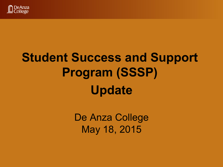

# **Student Success and Support Program (SSSP) Update**

De Anza College May 18, 2015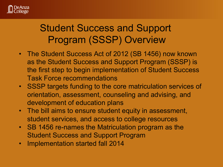

### Student Success and Support Program (SSSP) Overview

- The Student Success Act of 2012 (SB 1456) now known as the Student Success and Support Program (SSSP) is the first step to begin implementation of Student Success Task Force recommendations
- SSSP targets funding to the core matriculation services of orientation, assessment, counseling and advising, and development of education plans
- The bill aims to ensure student equity in assessment, student services, and access to college resources
- SB 1456 re-names the Matriculation program as the Student Success and Support Program
- Implementation started fall 2014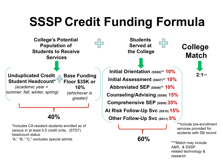# **SSSP Credit Funding Formula**

**College's Potential**  45 **Population of Students to Receive Services Initial Orientation (SS06)\*\* 10% Unduplicated Credit Base Funding Initial Assessment (SS07)\*\* 10% Student Headcount\* Floor \$35K or**  *(academic year =*  **10% Abbreviated SEP (SS09)\*\* 10%**  *summer, fall, winter, spring) (whichever is*  **Counseling/Advising (SS08) 15%**  *greater)*  **Comprehensive SEP (SS09) 35% At Risk Follow-Up Svc (SS10) 15% 40% Other Follow-Up Svc (SS11) 5%** \*Includes CA resident students enrolled as of

**Students Served at Served at THE College College** 

**60%** 

**Match** 

**2:1\*\*\*** 

\*\*Include pre-enrollment services provided for students with SB record

\*\*\*Match may include A&R, & SSSP related technology & research

census in at least 0.5 credit units, (STD7) headcount status "A," "B," "C," excludes special admits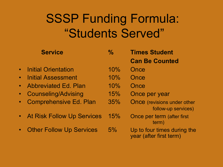### SSSP Funding Formula: "Students Served"

|             | <b>Service</b>                  | $\%$ | <b>Times Student</b><br><b>Can Be Counted</b>             |
|-------------|---------------------------------|------|-----------------------------------------------------------|
| $\bullet$   | <b>Initial Orientation</b>      | 10%  | Once                                                      |
| $\bullet$   | <b>Initial Assessment</b>       | 10%  | Once                                                      |
|             | • Abbreviated Ed. Plan          | 10%  | Once                                                      |
|             | • Counseling/Advising           | 15%  | Once per year                                             |
| $\bullet$ . | <b>Comprehensive Ed. Plan</b>   | 35%  | <b>Once</b> (revisions under other<br>follow-up services) |
|             | • At Risk Follow Up Services    | 15%  | Once per term (after first<br>term)                       |
| $\bullet$   | <b>Other Follow Up Services</b> | 5%   | Up to four times during the<br>year (after first term)    |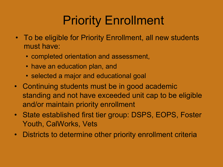# Priority Enrollment

- To be eligible for Priority Enrollment, all new students must have:
	- completed orientation and assessment,
	- have an education plan, and
	- selected a major and educational goal
- Continuing students must be in good academic standing and not have exceeded unit cap to be eligible and/or maintain priority enrollment
- State established first tier group: DSPS, EOPS, Foster Youth, CalWorks, Vets
- Districts to determine other priority enrollment criteria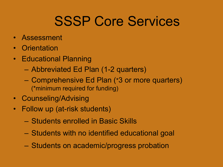# SSSP Core Services

- Assessment
- Orientation
- Educational Planning
	- Abbreviated Ed Plan (1-2 quarters)
	- Comprehensive Ed Plan (\*3 or more quarters) (\*minimum required for funding)
- Counseling/Advising
- Follow up (at-risk students)
	- Students enrolled in Basic Skills
	- Students with no identified educational goal
	- Students on academic/progress probation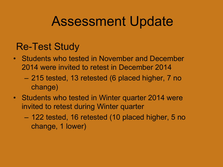# Assessment Update

#### Re-Test Study

- Students who tested in November and December 2014 were invited to retest in December 2014
	- 215 tested, 13 retested (6 placed higher, 7 no change)
- Students who tested in Winter quarter 2014 were invited to retest during Winter quarter
	- 122 tested, 16 retested (10 placed higher, 5 no change, 1 lower)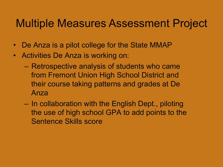### Multiple Measures Assessment Project

- De Anza is a pilot college for the State MMAP
- Activities De Anza is working on:
	- Retrospective analysis of students who came from Fremont Union High School District and their course taking patterns and grades at De Anza
	- In collaboration with the English Dept., piloting the use of high school GPA to add points to the Sentence Skills score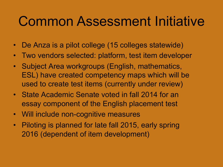# Common Assessment Initiative

- De Anza is a pilot college (15 colleges statewide)
- Two vendors selected: platform, test item developer
- Subject Area workgroups (English, mathematics, ESL) have created competency maps which will be used to create test items (currently under review)
- State Academic Senate voted in fall 2014 for an essay component of the English placement test
- Will include non-cognitive measures
- Piloting is planned for late fall 2015, early spring 2016 (dependent of item development)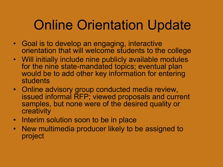# Online Orientation Update

- Goal is to develop an engaging, interactive orientation that will welcome students to the college
- Will initially include nine publicly available modules for the nine state-mandated topics; eventual plan would be to add other key information for entering students
- Online advisory group conducted media review, issued informal RFP; viewed proposals and current samples, but none were of the desired quality or creativity
- Interim solution soon to be in place
- New multimedia producer likely to be assigned to project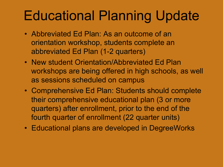# Educational Planning Update

- Abbreviated Ed Plan: As an outcome of an orientation workshop, students complete an abbreviated Ed Plan (1-2 quarters)
- New student Orientation/Abbreviated Ed Plan workshops are being offered in high schools, as well as sessions scheduled on campus
- Comprehensive Ed Plan: Students should complete their comprehensive educational plan (3 or more quarters) after enrollment, prior to the end of the fourth quarter of enrollment (22 quarter units)
- Educational plans are developed in DegreeWorks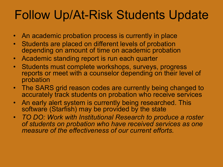## Follow Up/At-Risk Students Update

- An academic probation process is currently in place
- Students are placed on different levels of probation depending on amount of time on academic probation
- Academic standing report is run each quarter
- Students must complete workshops, surveys, progress reports or meet with a counselor depending on their level of probation
- The SARS grid reason codes are currently being changed to accurately track students on probation who receive services
- An early alert system is currently being researched. This software (Starfish) may be provided by the state
- *TO DO: Work with Institutional Research to produce a roster of students on probation who have received services as one measure of the effectiveness of our current efforts.*